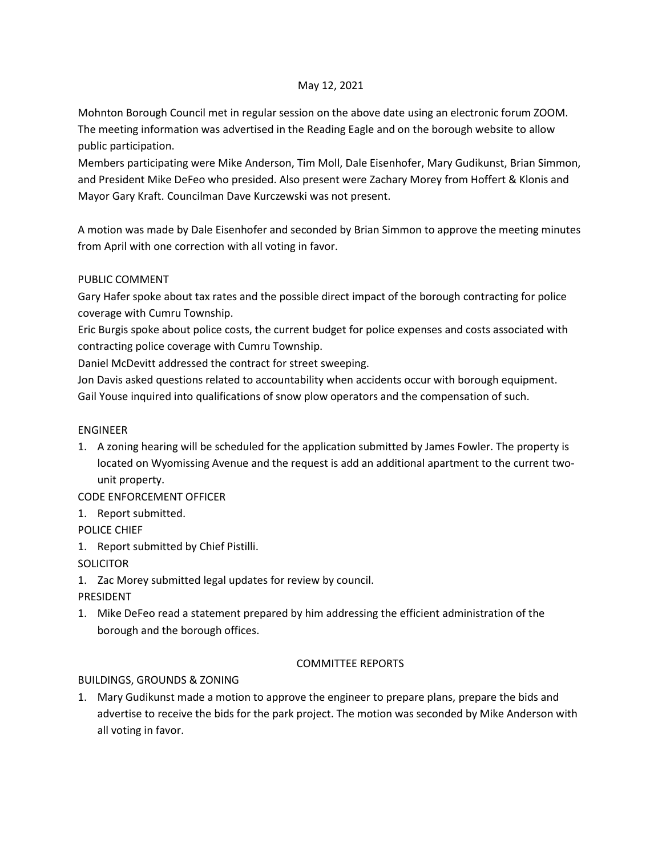#### May 12, 2021

Mohnton Borough Council met in regular session on the above date using an electronic forum ZOOM. The meeting information was advertised in the Reading Eagle and on the borough website to allow public participation.

Members participating were Mike Anderson, Tim Moll, Dale Eisenhofer, Mary Gudikunst, Brian Simmon, and President Mike DeFeo who presided. Also present were Zachary Morey from Hoffert & Klonis and Mayor Gary Kraft. Councilman Dave Kurczewski was not present.

A motion was made by Dale Eisenhofer and seconded by Brian Simmon to approve the meeting minutes from April with one correction with all voting in favor.

#### PUBLIC COMMENT

Gary Hafer spoke about tax rates and the possible direct impact of the borough contracting for police coverage with Cumru Township.

Eric Burgis spoke about police costs, the current budget for police expenses and costs associated with contracting police coverage with Cumru Township.

Daniel McDevitt addressed the contract for street sweeping.

Jon Davis asked questions related to accountability when accidents occur with borough equipment. Gail Youse inquired into qualifications of snow plow operators and the compensation of such.

#### ENGINEER

1. A zoning hearing will be scheduled for the application submitted by James Fowler. The property is located on Wyomissing Avenue and the request is add an additional apartment to the current twounit property.

CODE ENFORCEMENT OFFICER

1. Report submitted.

POLICE CHIEF

1. Report submitted by Chief Pistilli.

# **SOLICITOR**

1. Zac Morey submitted legal updates for review by council.

# PRESIDENT

1. Mike DeFeo read a statement prepared by him addressing the efficient administration of the borough and the borough offices.

# COMMITTEE REPORTS

# BUILDINGS, GROUNDS & ZONING

1. Mary Gudikunst made a motion to approve the engineer to prepare plans, prepare the bids and advertise to receive the bids for the park project. The motion was seconded by Mike Anderson with all voting in favor.